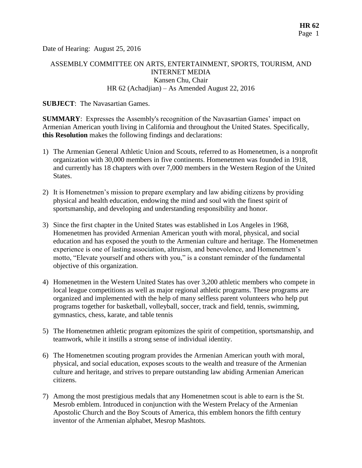Date of Hearing: August 25, 2016

# ASSEMBLY COMMITTEE ON ARTS, ENTERTAINMENT, SPORTS, TOURISM, AND INTERNET MEDIA Kansen Chu, Chair HR 62 (Achadjian) – As Amended August 22, 2016

### **SUBJECT**: The Navasartian Games.

**SUMMARY**: Expresses the Assembly's recognition of the Navasartian Games' impact on Armenian American youth living in California and throughout the United States. Specifically, **this Resolution** makes the following findings and declarations:

- 1) The Armenian General Athletic Union and Scouts, referred to as Homenetmen, is a nonprofit organization with 30,000 members in five continents. Homenetmen was founded in 1918, and currently has 18 chapters with over 7,000 members in the Western Region of the United States.
- 2) It is Homenetmen's mission to prepare exemplary and law abiding citizens by providing physical and health education, endowing the mind and soul with the finest spirit of sportsmanship, and developing and understanding responsibility and honor.
- 3) Since the first chapter in the United States was established in Los Angeles in 1968, Homenetmen has provided Armenian American youth with moral, physical, and social education and has exposed the youth to the Armenian culture and heritage. The Homenetmen experience is one of lasting association, altruism, and benevolence, and Homenetmen's motto, "Elevate yourself and others with you," is a constant reminder of the fundamental objective of this organization.
- 4) Homenetmen in the Western United States has over 3,200 athletic members who compete in local league competitions as well as major regional athletic programs. These programs are organized and implemented with the help of many selfless parent volunteers who help put programs together for basketball, volleyball, soccer, track and field, tennis, swimming, gymnastics, chess, karate, and table tennis
- 5) The Homenetmen athletic program epitomizes the spirit of competition, sportsmanship, and teamwork, while it instills a strong sense of individual identity.
- 6) The Homenetmen scouting program provides the Armenian American youth with moral, physical, and social education, exposes scouts to the wealth and treasure of the Armenian culture and heritage, and strives to prepare outstanding law abiding Armenian American citizens.
- 7) Among the most prestigious medals that any Homenetmen scout is able to earn is the St. Mesrob emblem. Introduced in conjunction with the Western Prelacy of the Armenian Apostolic Church and the Boy Scouts of America, this emblem honors the fifth century inventor of the Armenian alphabet, Mesrop Mashtots.